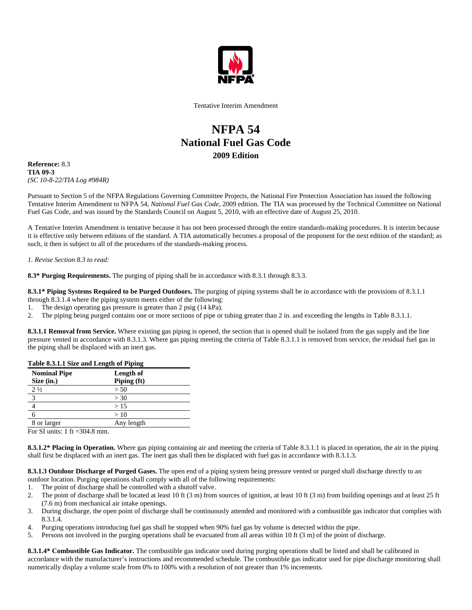

Tentative Interim Amendment

## **NFPA 54 National Fuel Gas Code 2009 Edition**

**Reference:** 8.3 **TIA 09-3**  *(SC 10-8-22/TIA Log #984R)* 

Pursuant to Section 5 of the NFPA Regulations Governing Committee Projects, the National Fire Protection Association has issued the following Tentative Interim Amendment to NFPA 54, *National Fuel Gas Code,* 2009 edition. The TIA was processed by the Technical Committee on National Fuel Gas Code, and was issued by the Standards Council on August 5, 2010, with an effective date of August 25, 2010.

A Tentative Interim Amendment is tentative because it has not been processed through the entire standards-making procedures. It is interim because it is effective only between editions of the standard. A TIA automatically becomes a proposal of the proponent for the next edition of the standard; as such, it then is subject to all of the procedures of the standards-making process.

## *1. Revise Section 8.3 to read:*

**8.3\* Purging Requirements.** The purging of piping shall be in accordance with 8.3.1 through 8.3.3.

**8.3.1\* Piping Systems Required to be Purged Outdoors.** The purging of piping systems shall be in accordance with the provisions of 8.3.1.1 through 8.3.1.4 where the piping system meets either of the following:

- 1. The design operating gas pressure is greater than 2 psig (14 kPa).
- 2. The piping being purged contains one or more sections of pipe or tubing greater than 2 in. and exceeding the lengths in Table 8.3.1.1.

**8.3.1.1 Removal from Service.** Where existing gas piping is opened, the section that is opened shall be isolated from the gas supply and the line pressure vented in accordance with 8.3.1.3. Where gas piping meeting the criteria of Table 8.3.1.1 is removed from service, the residual fuel gas in the piping shall be displaced with an inert gas.

| Table 8.3.1.1 Size and Length of Piping |             |
|-----------------------------------------|-------------|
| <b>Nominal Pipe</b>                     | Length of   |
| Size (in.)                              | Piping (ft) |
| $2\frac{1}{2}$                          | > 50        |
| $\overline{\mathbf{3}}$                 | > 30        |
|                                         | >15         |
|                                         | >10         |
| 8 or larger                             | Any length  |
|                                         |             |

For SI units:  $1 \text{ ft} = 304.8 \text{ mm}$ .

**8.3.1.2\* Placing in Operation.** Where gas piping containing air and meeting the criteria of Table 8.3.1.1 is placed in operation, the air in the piping shall first be displaced with an inert gas. The inert gas shall then be displaced with fuel gas in accordance with 8.3.1.3.

**8.3.1.3 Outdoor Discharge of Purged Gases.** The open end of a piping system being pressure vented or purged shall discharge directly to an outdoor location. Purging operations shall comply with all of the following requirements:

- 1. The point of discharge shall be controlled with a shutoff valve.
- 2. The point of discharge shall be located at least 10 ft (3 m) from sources of ignition, at least 10 ft (3 m) from building openings and at least 25 ft (7.6 m) from mechanical air intake openings.
- 3. During discharge, the open point of discharge shall be continuously attended and monitored with a combustible gas indicator that complies with 8.3.1.4.
- 4. Purging operations introducing fuel gas shall be stopped when 90% fuel gas by volume is detected within the pipe.
- 5. Persons not involved in the purging operations shall be evacuated from all areas within 10 ft (3 m) of the point of discharge.

**8.3.1.4\* Combustible Gas Indicator.** The combustible gas indicator used during purging operations shall be listed and shall be calibrated in accordance with the manufacturer's instructions and recommended schedule. The combustible gas indicator used for pipe discharge monitoring shall numerically display a volume scale from 0% to 100% with a resolution of not greater than 1% increments.